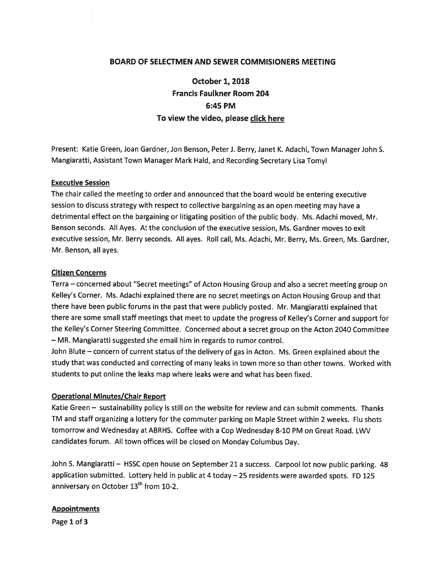### BOARD OF SELECTMEN AND SEWER COMMISIONERS MEETING

October 1, 2018 Francis Faulkner Room 204 6:45 PM To view the video, please click here

Present: Katie Green, Joan Gardner, Jon Benson, Peter J. Berry, Janet K. Adachi, Town Manager John 5. Mangiaratti, Assistant Town Manager Mark Hald, and Recording Secretary Lisa Tomyl

#### Executive Session

The chair called the meeting to order and announced that the board would be entering executive session to discuss strategy with respec<sup>t</sup> to collective bargaining as an open meeting may have <sup>a</sup> detrimental effect on the bargaining or litigating position of the public body. Ms. Adachi moved, Mr. Benson seconds. All Ayes. At the conclusion of the executive session, Ms. Gardner moves to exit executive session, Mr. Berry seconds. All ayes. Roll call, Ms. Adachi, Mr. Berry, Ms. Green, Ms. Gardner, Mr. Benson, all ayes.

#### Citizen Concerns

Terra — concerned about "Secret meetings" of Acton Housing Group and also <sup>a</sup> secret meeting group on Kelley's Corner. Ms. Adachi explained there are no secret meetings on Acton Housing Group and that there have been public forums in the pas<sup>t</sup> that were publicly posted. Mr. Mangiaratti explained that there are some small staff meetings that meet to update the progress of Kelley's Cornet and suppor<sup>t</sup> for the Kelley's Corner Steering Committee. Concerned about <sup>a</sup> secret group on the Acton 2040 Committee — MR. Mangiaratti suggested she email him in regards to rumor control.

John Blute — concern of current status of the delivery of gas in Acton. Ms. Green explained about the study that was conducted and correcting of many leaks in town more so than other towns. Worked with students to pu<sup>t</sup> online the leaks map where leaks were and what has been fixed.

#### Operational Minutes/Chair Report

Katie Green — sustainability policy is still on the website for review and can submit comments. Thanks TM and staff organizing <sup>a</sup> lottery for the commuter parking on Maple Street within <sup>2</sup> weeks. Flu shots tomorrow and Wednesday at ABRHS. Coffee with <sup>a</sup> Cop Wednesday 8-10 PM on Great Road. LWV candidates forum. All town offices will be closed on Monday Columbus Day.

John S. Mangiaratti - HSSC open house on September 21 a success. Carpool lot now public parking. 48 application submitted. Lottery held in public at <sup>4</sup> today —25 residents were awarded spots. ED <sup>125</sup> anniversary on October 13<sup>th</sup> from 10-2.

#### **Appointments**

Page 1 of 3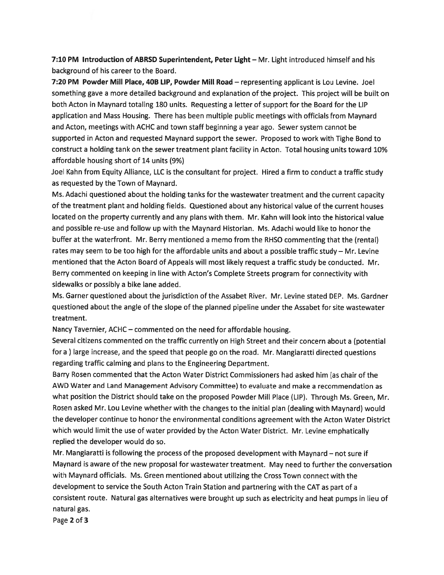7:10 PM Introduction of ABRSD Superintendent, Peter Light – Mr. Light introduced himself and his background of his career to the Board.

7:20 PM Powder Mill Place, 40B LIP, Powder Mill Road — representing applicant is Lou Levine. Joel something gave <sup>a</sup> mote detailed background and explanation of the project. This project will be built on both Acton in Maynard totaling 180 units. Requesting <sup>a</sup> letter of suppor<sup>t</sup> for the Board for the LIP application and Mass Housing. There has been multiple public meetings with officials from Maynard and Acton, meetings with ACHC and town staff beginning <sup>a</sup> year ago. Sewer system cannot be supported in Acton and requested Maynard suppor<sup>t</sup> the sewer. Proposed to work with Tighe Bond to construct <sup>a</sup> holding tank on the sewer treatment plant facility in Acton. Total housing units toward 10% affordable housing short of 14 units (9%)

Joel Kahn from Equity Alliance, LLC is the consultant for project. Hired <sup>a</sup> firm to conduct <sup>a</sup> traffic study as requested by the Town of Maynard.

Ms. Adachi questioned about the holding tanks for the wastewater treatment and the current capacity of the treatment <sup>p</sup>lant and holding fields. Questioned about any historical value of the current houses located on the property currently and any plans with them. Mr. Kahn will look into the historical value and possible re-use and follow up with the Maynard Historian. Ms. Adachi would like to honor the buffer at the waterfront. Mr. Berry mentioned <sup>a</sup> memo from the RHSO commenting that the (rental) rates may seem to be too high for the affordable units and about <sup>a</sup> possible traffic study — Mr. Levine mentioned that the Acton Board of Appeals will most likely reques<sup>t</sup> <sup>a</sup> traffic study be conducted. Mr. Berry commented on keeping in line with Acton's Complete Streets program for connectivity with sidewalks or possibly <sup>a</sup> bike lane added.

Ms. Garner questioned about the jurisdiction of the Assabet River. Mr. Levine stated DEP. Ms. Gardner questioned about the angle of the slope of the planned pipeline under the Assabet for site wastewater treatment.

Nancy Tavernier, ACHC — commented on the need for affordable housing.

Several citizens commented on the traffic currently on High Street and their concern about <sup>a</sup> (potential for <sup>a</sup> ) large increase, and the spee<sup>d</sup> that people go on the road. Mr. Mangiaratti directed questions regarding traffic calming and <sup>p</sup>lans to the Engineering Department.

Barry Rosen commented that the Acton Water District Commissioners had asked him (as chair of the AWD Water and Land Management Advisory Committee) to evaluate and make <sup>a</sup> recommendation as what position the District should take on the propose<sup>d</sup> Powder Mill Place (LIP). Through Ms. Green, Mr. Rosen asked Mr. Lou Levine whether with the changes to the initial <sup>p</sup>lan (dealing with Maynard) would the developer continue to honor the environmental conditions agreemen<sup>t</sup> with the Acton Water District which would limit the use of water provided by the Acton Water District. Mr. Levine emphatically replied the developer would do so.

Mr. Mangiaratti is following the process of the propose<sup>d</sup> development with Maynard — not sure if Maynard is aware of the new proposa<sup>l</sup> for wastewater treatment. May need to further the conversation with Maynard officials. Ms. Green mentioned about utilizing the Cross Town connect with the development to service the South Acton Train Station and partnering with the CAT as par<sup>t</sup> of <sup>a</sup> consistent route. Natural gas alternatives were brought up such as electricity and heat pumps in lieu of natural gas.

Page 2 of 3